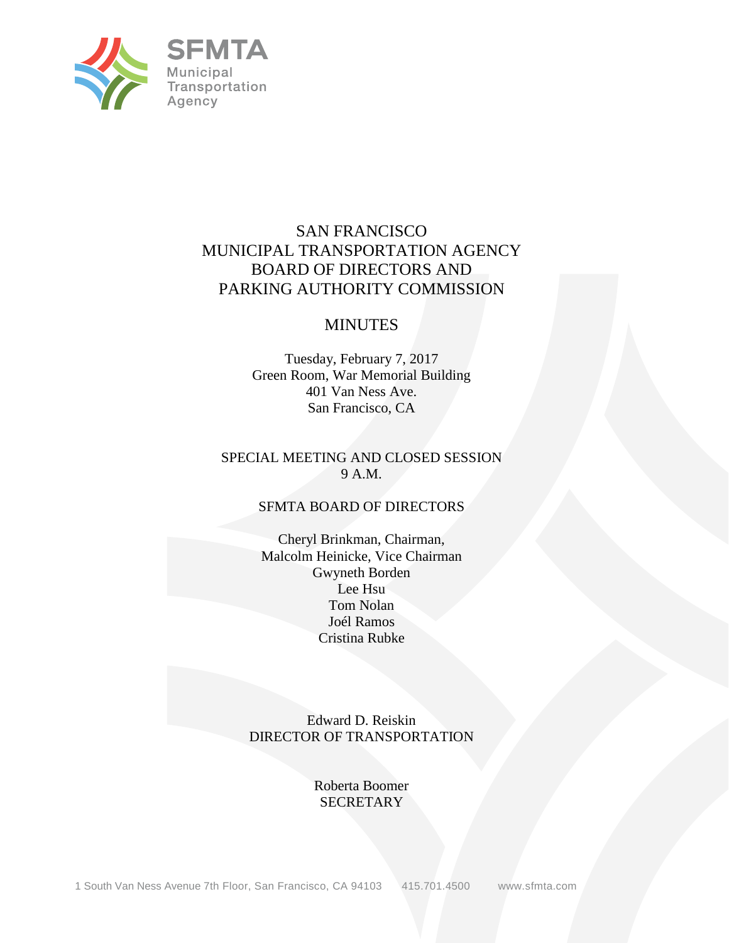

# SAN FRANCISCO MUNICIPAL TRANSPORTATION AGENCY BOARD OF DIRECTORS AND PARKING AUTHORITY COMMISSION

# MINUTES

Tuesday, February 7, 2017 Green Room, War Memorial Building 401 Van Ness Ave. San Francisco, CA

#### SPECIAL MEETING AND CLOSED SESSION 9 A.M.

#### SFMTA BOARD OF DIRECTORS

Cheryl Brinkman, Chairman, Malcolm Heinicke, Vice Chairman Gwyneth Borden Lee Hsu Tom Nolan Joél Ramos Cristina Rubke

Edward D. Reiskin DIRECTOR OF TRANSPORTATION

> Roberta Boomer SECRETARY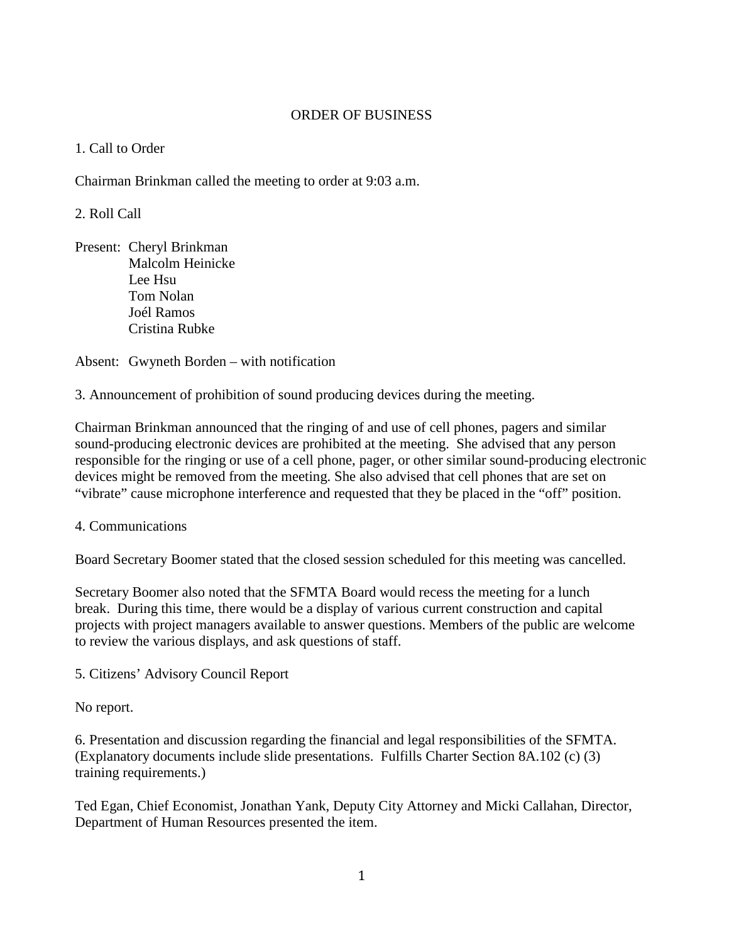## ORDER OF BUSINESS

## 1. Call to Order

Chairman Brinkman called the meeting to order at 9:03 a.m.

## 2. Roll Call

Present: Cheryl Brinkman Malcolm Heinicke Lee Hsu Tom Nolan Joél Ramos Cristina Rubke

Absent: Gwyneth Borden – with notification

3. Announcement of prohibition of sound producing devices during the meeting.

Chairman Brinkman announced that the ringing of and use of cell phones, pagers and similar sound-producing electronic devices are prohibited at the meeting. She advised that any person responsible for the ringing or use of a cell phone, pager, or other similar sound-producing electronic devices might be removed from the meeting. She also advised that cell phones that are set on "vibrate" cause microphone interference and requested that they be placed in the "off" position.

#### 4. Communications

Board Secretary Boomer stated that the closed session scheduled for this meeting was cancelled.

Secretary Boomer also noted that the SFMTA Board would recess the meeting for a lunch break. During this time, there would be a display of various current construction and capital projects with project managers available to answer questions. Members of the public are welcome to review the various displays, and ask questions of staff.

5. Citizens' Advisory Council Report

No report.

6. Presentation and discussion regarding the financial and legal responsibilities of the SFMTA. (Explanatory documents include slide presentations. Fulfills Charter Section 8A.102 (c) (3) training requirements.)

Ted Egan, Chief Economist, Jonathan Yank, Deputy City Attorney and Micki Callahan, Director, Department of Human Resources presented the item.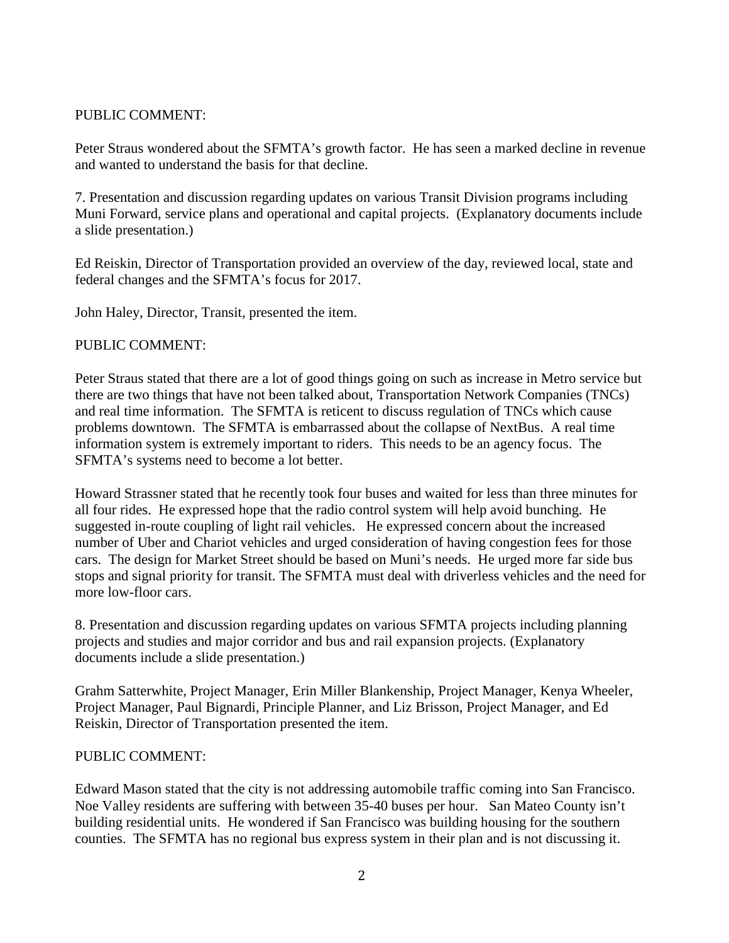## PUBLIC COMMENT:

Peter Straus wondered about the SFMTA's growth factor. He has seen a marked decline in revenue and wanted to understand the basis for that decline.

7. Presentation and discussion regarding updates on various Transit Division programs including Muni Forward, service plans and operational and capital projects. (Explanatory documents include a slide presentation.)

Ed Reiskin, Director of Transportation provided an overview of the day, reviewed local, state and federal changes and the SFMTA's focus for 2017.

John Haley, Director, Transit, presented the item.

## PUBLIC COMMENT:

Peter Straus stated that there are a lot of good things going on such as increase in Metro service but there are two things that have not been talked about, Transportation Network Companies (TNCs) and real time information. The SFMTA is reticent to discuss regulation of TNCs which cause problems downtown. The SFMTA is embarrassed about the collapse of NextBus. A real time information system is extremely important to riders. This needs to be an agency focus. The SFMTA's systems need to become a lot better.

Howard Strassner stated that he recently took four buses and waited for less than three minutes for all four rides. He expressed hope that the radio control system will help avoid bunching. He suggested in-route coupling of light rail vehicles. He expressed concern about the increased number of Uber and Chariot vehicles and urged consideration of having congestion fees for those cars. The design for Market Street should be based on Muni's needs. He urged more far side bus stops and signal priority for transit. The SFMTA must deal with driverless vehicles and the need for more low-floor cars.

8. Presentation and discussion regarding updates on various SFMTA projects including planning projects and studies and major corridor and bus and rail expansion projects. (Explanatory documents include a slide presentation.)

Grahm Satterwhite, Project Manager, Erin Miller Blankenship, Project Manager, Kenya Wheeler, Project Manager, Paul Bignardi, Principle Planner, and Liz Brisson, Project Manager, and Ed Reiskin, Director of Transportation presented the item.

#### PUBLIC COMMENT:

Edward Mason stated that the city is not addressing automobile traffic coming into San Francisco. Noe Valley residents are suffering with between 35-40 buses per hour. San Mateo County isn't building residential units. He wondered if San Francisco was building housing for the southern counties. The SFMTA has no regional bus express system in their plan and is not discussing it.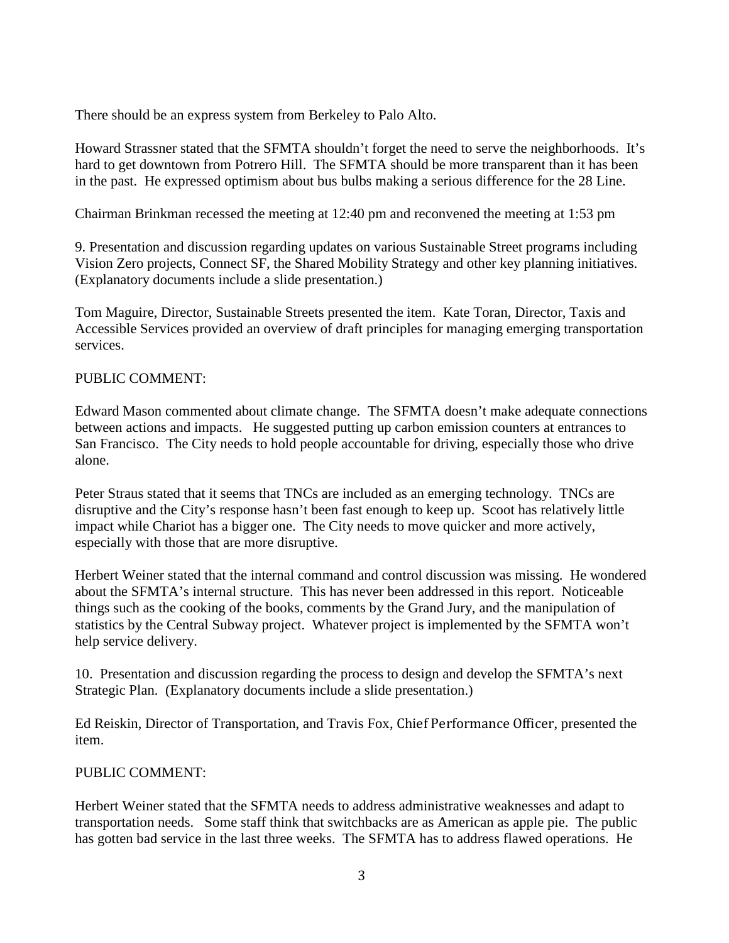There should be an express system from Berkeley to Palo Alto.

Howard Strassner stated that the SFMTA shouldn't forget the need to serve the neighborhoods. It's hard to get downtown from Potrero Hill. The SFMTA should be more transparent than it has been in the past. He expressed optimism about bus bulbs making a serious difference for the 28 Line.

Chairman Brinkman recessed the meeting at 12:40 pm and reconvened the meeting at 1:53 pm

9. Presentation and discussion regarding updates on various Sustainable Street programs including Vision Zero projects, Connect SF, the Shared Mobility Strategy and other key planning initiatives. (Explanatory documents include a slide presentation.)

Tom Maguire, Director, Sustainable Streets presented the item. Kate Toran, Director, Taxis and Accessible Services provided an overview of draft principles for managing emerging transportation services.

## PUBLIC COMMENT:

Edward Mason commented about climate change. The SFMTA doesn't make adequate connections between actions and impacts. He suggested putting up carbon emission counters at entrances to San Francisco. The City needs to hold people accountable for driving, especially those who drive alone.

Peter Straus stated that it seems that TNCs are included as an emerging technology. TNCs are disruptive and the City's response hasn't been fast enough to keep up. Scoot has relatively little impact while Chariot has a bigger one. The City needs to move quicker and more actively, especially with those that are more disruptive.

Herbert Weiner stated that the internal command and control discussion was missing. He wondered about the SFMTA's internal structure. This has never been addressed in this report. Noticeable things such as the cooking of the books, comments by the Grand Jury, and the manipulation of statistics by the Central Subway project. Whatever project is implemented by the SFMTA won't help service delivery.

10. Presentation and discussion regarding the process to design and develop the SFMTA's next Strategic Plan. (Explanatory documents include a slide presentation.)

Ed Reiskin, Director of Transportation, and Travis Fox, Chief Performance Officer, presented the item.

# PUBLIC COMMENT:

Herbert Weiner stated that the SFMTA needs to address administrative weaknesses and adapt to transportation needs. Some staff think that switchbacks are as American as apple pie. The public has gotten bad service in the last three weeks. The SFMTA has to address flawed operations. He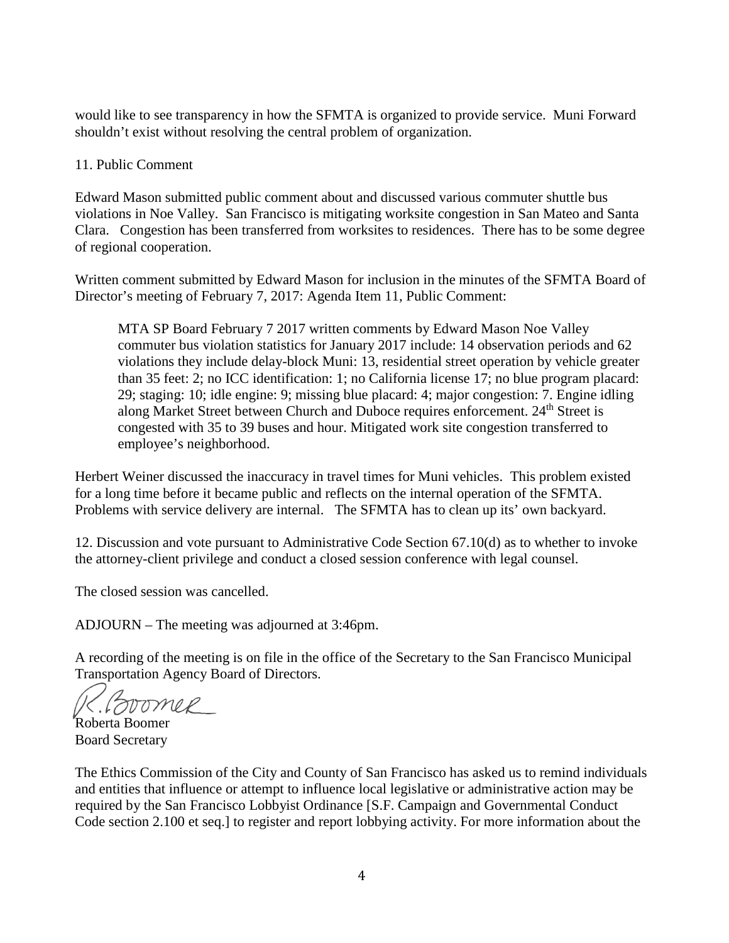would like to see transparency in how the SFMTA is organized to provide service. Muni Forward shouldn't exist without resolving the central problem of organization.

## 11. Public Comment

Edward Mason submitted public comment about and discussed various commuter shuttle bus violations in Noe Valley. San Francisco is mitigating worksite congestion in San Mateo and Santa Clara. Congestion has been transferred from worksites to residences. There has to be some degree of regional cooperation.

Written comment submitted by Edward Mason for inclusion in the minutes of the SFMTA Board of Director's meeting of February 7, 2017: Agenda Item 11, Public Comment:

MTA SP Board February 7 2017 written comments by Edward Mason Noe Valley commuter bus violation statistics for January 2017 include: 14 observation periods and 62 violations they include delay-block Muni: 13, residential street operation by vehicle greater than 35 feet: 2; no ICC identification: 1; no California license 17; no blue program placard: 29; staging: 10; idle engine: 9; missing blue placard: 4; major congestion: 7. Engine idling along Market Street between Church and Duboce requires enforcement. 24<sup>th</sup> Street is congested with 35 to 39 buses and hour. Mitigated work site congestion transferred to employee's neighborhood.

Herbert Weiner discussed the inaccuracy in travel times for Muni vehicles. This problem existed for a long time before it became public and reflects on the internal operation of the SFMTA. Problems with service delivery are internal. The SFMTA has to clean up its' own backyard.

12. Discussion and vote pursuant to Administrative Code Section 67.10(d) as to whether to invoke the attorney-client privilege and conduct a closed session conference with legal counsel.

The closed session was cancelled.

ADJOURN – The meeting was adjourned at 3:46pm.

A recording of the meeting is on file in the office of the Secretary to the San Francisco Municipal Transportation Agency Board of Directors.

(foromer Roberta Boomer

Board Secretary

The Ethics Commission of the City and County of San Francisco has asked us to remind individuals and entities that influence or attempt to influence local legislative or administrative action may be required by the San Francisco Lobbyist Ordinance [S.F. Campaign and Governmental Conduct Code section 2.100 et seq.] to register and report lobbying activity. For more information about the